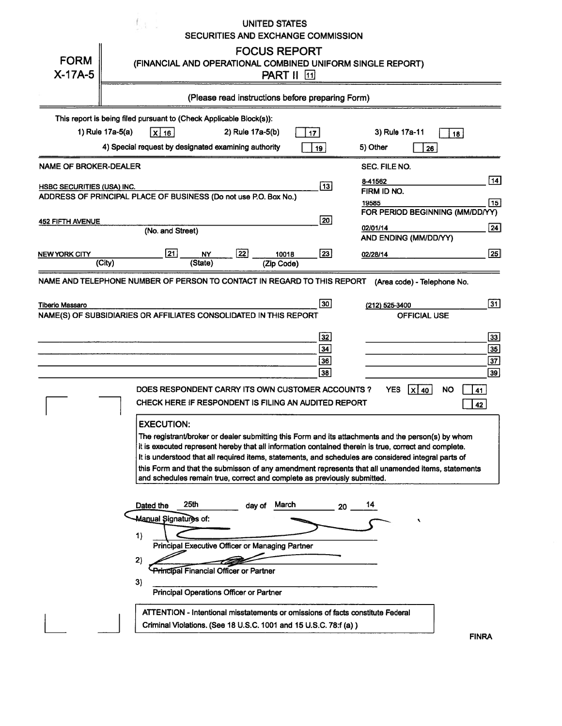| <b>FORM</b>                                                                                    |                                                                                         |                                                                                                                                              |                  |                  | <b>UNITED STATES</b><br>SECURITIES AND EXCHANGE COMMISSION<br><b>FOCUS REPORT</b>                                                                                                    |                              | (FINANCIAL AND OPERATIONAL COMBINED UNIFORM SINGLE REPORT)                                                                                                                                                                                                                                                                                                                                                                                         |                                                               |
|------------------------------------------------------------------------------------------------|-----------------------------------------------------------------------------------------|----------------------------------------------------------------------------------------------------------------------------------------------|------------------|------------------|--------------------------------------------------------------------------------------------------------------------------------------------------------------------------------------|------------------------------|----------------------------------------------------------------------------------------------------------------------------------------------------------------------------------------------------------------------------------------------------------------------------------------------------------------------------------------------------------------------------------------------------------------------------------------------------|---------------------------------------------------------------|
| $X-17A-5$                                                                                      |                                                                                         |                                                                                                                                              |                  |                  | <b>PART II</b> [1]<br>(Please read instructions before preparing Form)                                                                                                               |                              |                                                                                                                                                                                                                                                                                                                                                                                                                                                    |                                                               |
|                                                                                                |                                                                                         |                                                                                                                                              |                  |                  |                                                                                                                                                                                      |                              |                                                                                                                                                                                                                                                                                                                                                                                                                                                    |                                                               |
|                                                                                                | This report is being filed pursuant to (Check Applicable Block(s)):<br>1) Rule 17a-5(a) |                                                                                                                                              |                  | 2) Rule 17a-5(b) |                                                                                                                                                                                      |                              |                                                                                                                                                                                                                                                                                                                                                                                                                                                    |                                                               |
|                                                                                                | 4) Special request by designated examining authority                                    | x 16                                                                                                                                         |                  |                  |                                                                                                                                                                                      | 17<br>19 <sup>1</sup>        | 3) Rule 17a-11<br>5) Other<br>26                                                                                                                                                                                                                                                                                                                                                                                                                   | 18                                                            |
| <b>NAME OF BROKER-DEALER</b>                                                                   |                                                                                         |                                                                                                                                              |                  |                  |                                                                                                                                                                                      |                              | SEC. FILE NO.                                                                                                                                                                                                                                                                                                                                                                                                                                      |                                                               |
| HSBC SECURITIES (USA) INC.<br>ADDRESS OF PRINCIPAL PLACE OF BUSINESS (Do not use P.O. Box No.) |                                                                                         |                                                                                                                                              |                  |                  |                                                                                                                                                                                      | $\overline{13}$              | 8-41562<br>FIRM ID NO.                                                                                                                                                                                                                                                                                                                                                                                                                             | 14                                                            |
|                                                                                                |                                                                                         |                                                                                                                                              |                  |                  |                                                                                                                                                                                      |                              | 19585<br>FOR PERIOD BEGINNING (MM/DD/YY)                                                                                                                                                                                                                                                                                                                                                                                                           | 15                                                            |
| 452 FIFTH AVENUE                                                                               |                                                                                         | (No. and Street)                                                                                                                             |                  |                  |                                                                                                                                                                                      | 20                           | 02/01/14<br>AND ENDING (MM/DD/YY)                                                                                                                                                                                                                                                                                                                                                                                                                  | 24                                                            |
| NEW YORK CITY                                                                                  | (City)                                                                                  | 21                                                                                                                                           | NY<br>(State)    | $\overline{22}$  | 10018<br>(Zip Code)                                                                                                                                                                  | 23                           | 02/28/14                                                                                                                                                                                                                                                                                                                                                                                                                                           | $\sqrt{25}$                                                   |
| <b>Tiberio Massaro</b><br>NAME(S) OF SUBSIDIARIES OR AFFILIATES CONSOLIDATED IN THIS REPORT    |                                                                                         |                                                                                                                                              |                  |                  |                                                                                                                                                                                      | 30 <br>32<br>34<br>36<br> 38 | (212) 525-3400<br><b>OFFICIAL USE</b>                                                                                                                                                                                                                                                                                                                                                                                                              | $\overline{31}$<br>33<br>35<br>$\overline{37}$<br>$\sqrt{39}$ |
|                                                                                                |                                                                                         | <b>EXECUTION:</b>                                                                                                                            |                  |                  | DOES RESPONDENT CARRY ITS OWN CUSTOMER ACCOUNTS?<br>CHECK HERE IF RESPONDENT IS FILING AN AUDITED REPORT<br>and schedules remain true, correct and complete as previously submitted. |                              | <b>YES</b><br>  X   40<br>The registrant/broker or dealer submitting this Form and its attachments and the person(s) by whom<br>it is executed represent hereby that all information contained therein is true, correct and complete.<br>It is understood that all required items, statements, and schedules are considered integral parts of<br>this Form and that the submisson of any amendment represents that all unamended items, statements | <b>NO</b><br>41<br>42                                         |
|                                                                                                | 1)<br>2)<br>3)                                                                          | Dated the<br><b>Manual Signatures of:</b><br><b>Principal Financial Officer or Partner</b><br><b>Principal Operations Officer or Partner</b> | 25 <sub>th</sub> | day of           | March<br>Principal Executive Officer or Managing Partner<br>Criminal Violations. (See 18 U.S.C. 1001 and 15 U.S.C. 78:f (a))                                                         | 20                           | 14<br>۹<br>ATTENTION - Intentional misstatements or omissions of facts constitute Federal                                                                                                                                                                                                                                                                                                                                                          |                                                               |
|                                                                                                |                                                                                         |                                                                                                                                              |                  |                  |                                                                                                                                                                                      |                              |                                                                                                                                                                                                                                                                                                                                                                                                                                                    | <b>FINRA</b>                                                  |

**FINRA**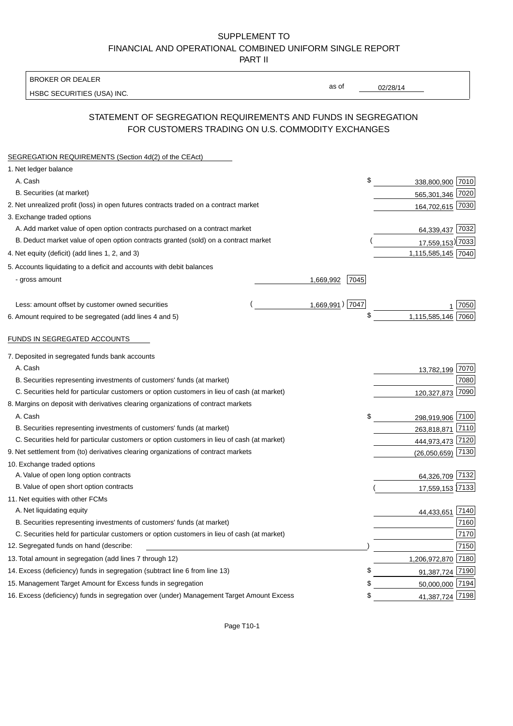## SUPPLEMENT TO FINANCIAL AND OPERATIONAL COMBINED UNIFORM SINGLE REPORT PART II

#### BROKER OR DEALER

HSBC SECURITIES (USA) INC.

02/28/14

as of

## STATEMENT OF SEGREGATION REQUIREMENTS AND FUNDS IN SEGREGATION FOR CUSTOMERS TRADING ON U.S. COMMODITY EXCHANGES

| SEGREGATION REQUIREMENTS (Section 4d(2) of the CEAct)                                       |                   |                     |      |
|---------------------------------------------------------------------------------------------|-------------------|---------------------|------|
| 1. Net ledger balance                                                                       |                   |                     |      |
| A. Cash                                                                                     | \$                | 338,800,900 7010    |      |
| B. Securities (at market)                                                                   |                   | 565,301,346 7020    |      |
| 2. Net unrealized profit (loss) in open futures contracts traded on a contract market       |                   | 164,702,615 7030    |      |
| 3. Exchange traded options                                                                  |                   |                     |      |
| A. Add market value of open option contracts purchased on a contract market                 |                   | 64,339,437 7032     |      |
| B. Deduct market value of open option contracts granted (sold) on a contract market         |                   | 17,559,153) 7033    |      |
| 4. Net equity (deficit) (add lines 1, 2, and 3)                                             |                   | 1,115,585,145 7040  |      |
| 5. Accounts liquidating to a deficit and accounts with debit balances                       |                   |                     |      |
| - gross amount                                                                              | 1,669,992<br>7045 |                     |      |
|                                                                                             |                   |                     |      |
| Less: amount offset by customer owned securities                                            | 1,669,991) 7047   |                     | 7050 |
| 6. Amount required to be segregated (add lines 4 and 5)                                     | \$                | 1,115,585,146       | 7060 |
| FUNDS IN SEGREGATED ACCOUNTS                                                                |                   |                     |      |
| 7. Deposited in segregated funds bank accounts                                              |                   |                     |      |
| A. Cash                                                                                     |                   | 13,782,199          | 7070 |
| B. Securities representing investments of customers' funds (at market)                      |                   |                     | 7080 |
| C. Securities held for particular customers or option customers in lieu of cash (at market) |                   | 120,327,873         | 7090 |
| 8. Margins on deposit with derivatives clearing organizations of contract markets           |                   |                     |      |
| A. Cash                                                                                     | \$                | 298,919,906         | 7100 |
| B. Securities representing investments of customers' funds (at market)                      |                   | 263,818,871         | 7110 |
| C. Securities held for particular customers or option customers in lieu of cash (at market) |                   | 444,973,473 7120    |      |
| 9. Net settlement from (to) derivatives clearing organizations of contract markets          |                   | $(26,050,659)$ 7130 |      |
| 10. Exchange traded options                                                                 |                   |                     |      |
| A. Value of open long option contracts                                                      |                   | 64,326,709 7132     |      |
| B. Value of open short option contracts                                                     |                   | 17,559,153 7133     |      |
| 11. Net equities with other FCMs                                                            |                   |                     |      |
| A. Net liquidating equity                                                                   |                   | 44,433,651          | 7140 |
| B. Securities representing investments of customers' funds (at market)                      |                   |                     | 7160 |
| C. Securities held for particular customers or option customers in lieu of cash (at market) |                   |                     | 7170 |
| 12. Segregated funds on hand (describe:                                                     |                   |                     | 7150 |
| 13. Total amount in segregation (add lines 7 through 12)                                    |                   | 1,206,972,870 7180  |      |
| 14. Excess (deficiency) funds in segregation (subtract line 6 from line 13)                 |                   | 91,387,724 7190     |      |
| 15. Management Target Amount for Excess funds in segregation                                | \$                | 50,000,000 7194     |      |
| 16. Excess (deficiency) funds in segregation over (under) Management Target Amount Excess   | \$                | 41,387,724 7198     |      |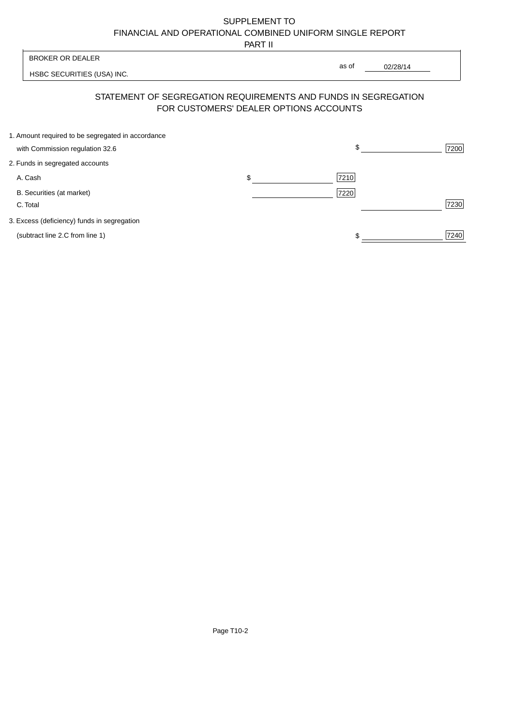# SUPPLEMENT TO FINANCIAL AND OPERATIONAL COMBINED UNIFORM SINGLE REPORT

PART II

 $\overline{\mathsf{I}}$ 

| <b>BROKER OR DEALER</b>                           |                                        | as of                                                          |      |
|---------------------------------------------------|----------------------------------------|----------------------------------------------------------------|------|
| HSBC SECURITIES (USA) INC.                        |                                        | 02/28/14                                                       |      |
|                                                   | FOR CUSTOMERS' DEALER OPTIONS ACCOUNTS | STATEMENT OF SEGREGATION REQUIREMENTS AND FUNDS IN SEGREGATION |      |
| 1. Amount required to be segregated in accordance |                                        |                                                                |      |
| with Commission regulation 32.6                   |                                        | \$                                                             | 7200 |
| 2. Funds in segregated accounts                   |                                        |                                                                |      |
| A. Cash                                           | \$                                     | 7210                                                           |      |
| B. Securities (at market)<br>C. Total             |                                        | 7220                                                           | 7230 |
| 3. Excess (deficiency) funds in segregation       |                                        |                                                                |      |
| (subtract line 2.C from line 1)                   |                                        | \$                                                             | 7240 |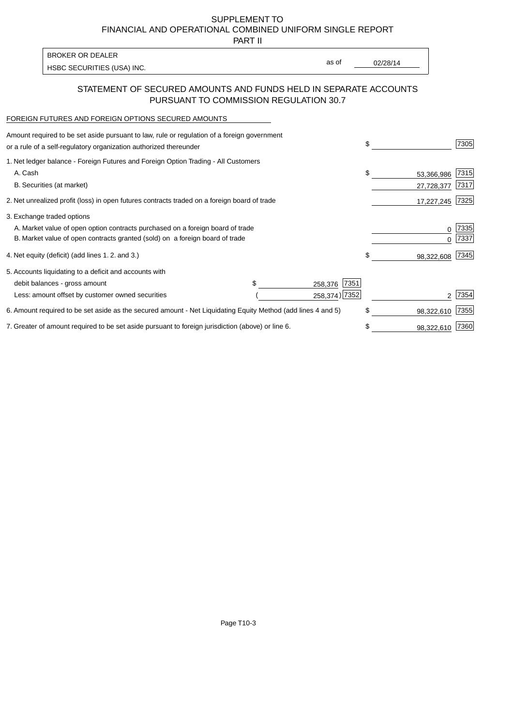SUPPLEMENT TO FINANCIAL AND OPERATIONAL COMBINED UNIFORM SINGLE REPORT

PART II

| <b>BROKER OR DEALER</b>    |       |          |
|----------------------------|-------|----------|
| HSBC SECURITIES (USA) INC. | as of | 02/28/14 |

## STATEMENT OF SECURED AMOUNTS AND FUNDS HELD IN SEPARATE ACCOUNTS PURSUANT TO COMMISSION REGULATION 30.7

#### FOREIGN FUTURES AND FOREIGN OPTIONS SECURED AMOUNTS

| Amount required to be set aside pursuant to law, rule or regulation of a foreign government<br>or a rule of a self-regulatory organization authorized thereunder | \$   |            | 7305 |
|------------------------------------------------------------------------------------------------------------------------------------------------------------------|------|------------|------|
| 1. Net ledger balance - Foreign Futures and Foreign Option Trading - All Customers                                                                               |      |            |      |
| A. Cash                                                                                                                                                          | \$   | 53,366,986 | 7315 |
| B. Securities (at market)                                                                                                                                        |      | 27,728,377 | 7317 |
| 2. Net unrealized profit (loss) in open futures contracts traded on a foreign board of trade                                                                     |      | 17,227,245 | 7325 |
| 3. Exchange traded options                                                                                                                                       |      |            |      |
| A. Market value of open option contracts purchased on a foreign board of trade                                                                                   |      | 0          | 7335 |
| B. Market value of open contracts granted (sold) on a foreign board of trade                                                                                     |      |            | 7337 |
| 4. Net equity (deficit) (add lines 1.2. and 3.)                                                                                                                  | \$   | 98,322,608 | 7345 |
| 5. Accounts liquidating to a deficit and accounts with                                                                                                           |      |            |      |
| debit balances - gross amount<br>258,376                                                                                                                         | 7351 |            |      |
| 258,374) 7352<br>Less: amount offset by customer owned securities                                                                                                |      |            | 7354 |
| 6. Amount required to be set aside as the secured amount - Net Liquidating Equity Method (add lines 4 and 5)                                                     | \$   | 98,322,610 | 7355 |
| 7. Greater of amount required to be set aside pursuant to foreign jurisdiction (above) or line 6.                                                                |      | 98,322,610 | 7360 |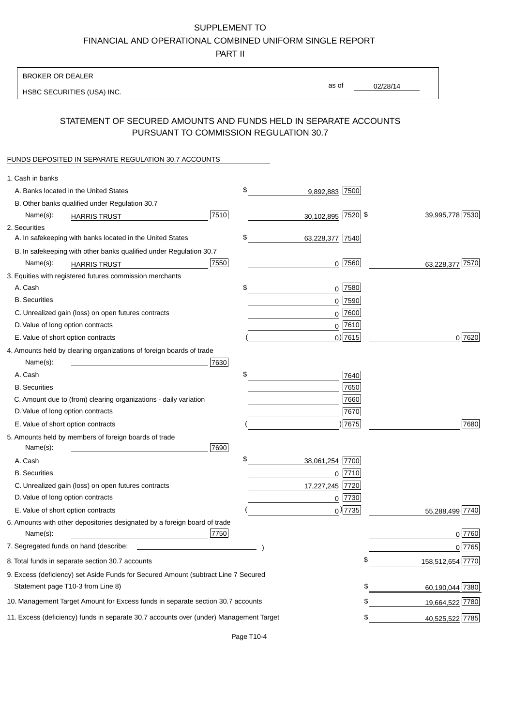# SUPPLEMENT TO

FINANCIAL AND OPERATIONAL COMBINED UNIFORM SINGLE REPORT

PART II

### BROKER OR DEALER

HSBC SECURITIES (USA) INC.

02/28/14 as of

## STATEMENT OF SECURED AMOUNTS AND FUNDS HELD IN SEPARATE ACCOUNTS PURSUANT TO COMMISSION REGULATION 30.7

### FUNDS DEPOSITED IN SEPARATE REGULATION 30.7 ACCOUNTS

| 1. Cash in banks                       |                                                                                        |      |                       |                        |
|----------------------------------------|----------------------------------------------------------------------------------------|------|-----------------------|------------------------|
| A. Banks located in the United States  |                                                                                        |      | \$<br>9,892,883 7500  |                        |
|                                        | B. Other banks qualified under Regulation 30.7                                         |      |                       |                        |
| Name(s):                               | <b>HARRIS TRUST</b>                                                                    | 7510 | 30,102,895 7520 \$    | 39,995,778 7530        |
| 2. Securities                          |                                                                                        |      |                       |                        |
|                                        | A. In safekeeping with banks located in the United States                              |      | \$<br>63,228,377 7540 |                        |
|                                        | B. In safekeeping with other banks qualified under Regulation 30.7                     |      |                       |                        |
| Name(s):                               | <b>HARRIS TRUST</b>                                                                    | 7550 | $0$ 7560              | 7570<br>63,228,377     |
|                                        | 3. Equities with registered futures commission merchants                               |      |                       |                        |
| A. Cash                                |                                                                                        |      | \$<br>$0$ 7580        |                        |
| <b>B.</b> Securities                   |                                                                                        |      | $0$ 7590              |                        |
|                                        | C. Unrealized gain (loss) on open futures contracts                                    |      | $0$ 7600              |                        |
| D. Value of long option contracts      |                                                                                        |      | $0^{7610}$            |                        |
| E. Value of short option contracts     |                                                                                        |      | $0)$ 7615             | 0 7620                 |
|                                        | 4. Amounts held by clearing organizations of foreign boards of trade                   |      |                       |                        |
| Name(s):                               |                                                                                        | 7630 |                       |                        |
| A. Cash                                |                                                                                        |      | \$<br>7640            |                        |
| <b>B.</b> Securities                   |                                                                                        |      | 7650                  |                        |
|                                        | C. Amount due to (from) clearing organizations - daily variation                       |      | 7660                  |                        |
| D. Value of long option contracts      |                                                                                        |      | 7670                  |                        |
| E. Value of short option contracts     |                                                                                        |      | 7675                  | 7680                   |
| Name(s):                               | 5. Amounts held by members of foreign boards of trade                                  | 7690 |                       |                        |
| A. Cash                                |                                                                                        |      | \$<br>38,061,254 7700 |                        |
| <b>B.</b> Securities                   |                                                                                        |      | $0$  7710             |                        |
|                                        | C. Unrealized gain (loss) on open futures contracts                                    |      | 17,227,245 7720       |                        |
| D. Value of long option contracts      |                                                                                        |      | 0 7730                |                        |
| E. Value of short option contracts     |                                                                                        |      | $_0$ ) 7735           | 55,288,499 7740        |
| Name(s):                               | 6. Amounts with other depositories designated by a foreign board of trade              | 7750 |                       | $0\sqrt{7760}$         |
| 7. Segregated funds on hand (describe: |                                                                                        |      |                       | 0 7765                 |
|                                        | 8. Total funds in separate section 30.7 accounts                                       |      |                       | \$<br>158,512,654 7770 |
|                                        | 9. Excess (deficiency) set Aside Funds for Secured Amount (subtract Line 7 Secured     |      |                       |                        |
| Statement page T10-3 from Line 8)      |                                                                                        |      |                       | \$<br>60,190,044 7380  |
|                                        | 10. Management Target Amount for Excess funds in separate section 30.7 accounts        |      |                       | \$<br>19,664,522 7780  |
|                                        | 11. Excess (deficiency) funds in separate 30.7 accounts over (under) Management Target |      |                       | \$<br>40,525,522 7785  |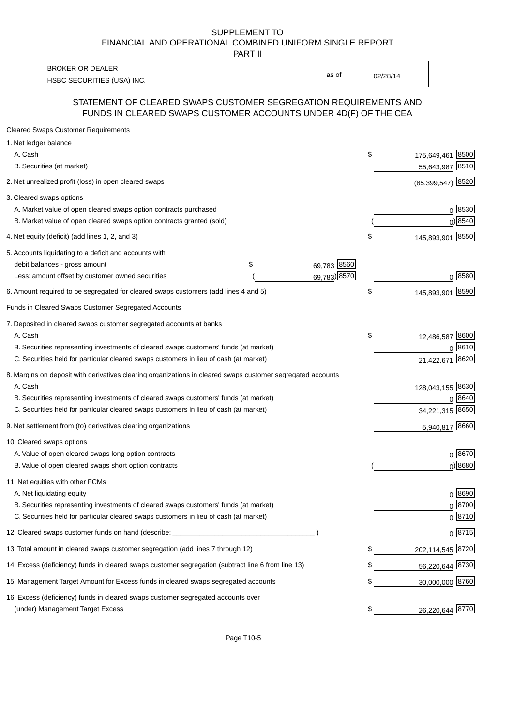#### SUPPLEMENT TO FINANCIAL AND OPERATIONAL COMBINED UNIFORM SINGLE REPORT PART II

HSBC SECURITIES (USA) INC. The contract of the contract of the contract of the contract of the contract of the contract of the contract of the contract of the contract of the contract of the contract of the contract of the BROKER OR DEALER

as of

## STATEMENT OF CLEARED SWAPS CUSTOMER SEGREGATION REQUIREMENTS AND FUNDS IN CLEARED SWAPS CUSTOMER ACCOUNTS UNDER 4D(F) OF THE CEA

| <b>Cleared Swaps Customer Requirements</b>                                                                  |                   |    |                  |               |
|-------------------------------------------------------------------------------------------------------------|-------------------|----|------------------|---------------|
| 1. Net ledger balance                                                                                       |                   |    |                  |               |
| A. Cash                                                                                                     |                   | \$ | 175,649,461      | 8500          |
| B. Securities (at market)                                                                                   |                   |    | 55,643,987       | 8510          |
| 2. Net unrealized profit (loss) in open cleared swaps                                                       |                   |    | (85, 399, 547)   | 8520          |
| 3. Cleared swaps options                                                                                    |                   |    |                  |               |
| A. Market value of open cleared swaps option contracts purchased                                            |                   |    |                  | $0^{8530}$    |
| B. Market value of open cleared swaps option contracts granted (sold)                                       |                   |    |                  | 0 8540        |
| 4. Net equity (deficit) (add lines 1, 2, and 3)                                                             |                   | \$ | 145,893,901 8550 |               |
| 5. Accounts liquidating to a deficit and accounts with                                                      |                   |    |                  |               |
| debit balances - gross amount                                                                               | \$<br>69,783 8560 |    |                  |               |
| Less: amount offset by customer owned securities                                                            | 69,783) 8570      |    |                  | 0 8580        |
| 6. Amount required to be segregated for cleared swaps customers (add lines 4 and 5)                         |                   | S  | 145,893,901      | 8590          |
| Funds in Cleared Swaps Customer Segregated Accounts                                                         |                   |    |                  |               |
| 7. Deposited in cleared swaps customer segregated accounts at banks                                         |                   |    |                  |               |
| A. Cash                                                                                                     |                   | \$ | 12,486,587       | 8600          |
| B. Securities representing investments of cleared swaps customers' funds (at market)                        |                   |    | 0                | 8610          |
| C. Securities held for particular cleared swaps customers in lieu of cash (at market)                       |                   |    | 21,422,671       | 8620          |
| 8. Margins on deposit with derivatives clearing organizations in cleared swaps customer segregated accounts |                   |    |                  |               |
| A. Cash                                                                                                     |                   |    | 128,043,155 8630 |               |
| B. Securities representing investments of cleared swaps customers' funds (at market)                        |                   |    | 0                | 8640          |
| C. Securities held for particular cleared swaps customers in lieu of cash (at market)                       |                   |    | 34,221,315       | 8650          |
| 9. Net settlement from (to) derivatives clearing organizations                                              |                   |    | 5,940,817 8660   |               |
| 10. Cleared swaps options                                                                                   |                   |    |                  |               |
| A. Value of open cleared swaps long option contracts                                                        |                   |    |                  | $0^{8670}$    |
| B. Value of open cleared swaps short option contracts                                                       |                   |    |                  | $0$ ) 8680    |
| 11. Net equities with other FCMs                                                                            |                   |    |                  |               |
| A. Net liquidating equity                                                                                   |                   |    |                  | $0^{8690}$    |
| B. Securities representing investments of cleared swaps customers' funds (at market)                        |                   |    |                  | $0^{8700}$    |
| C. Securities held for particular cleared swaps customers in lieu of cash (at market)                       |                   |    |                  | 0 8710        |
| 12. Cleared swaps customer funds on hand (describe: _                                                       |                   |    |                  | $0 \;  8715 $ |
| 13. Total amount in cleared swaps customer segregation (add lines 7 through 12)                             |                   |    | 202,114,545 8720 |               |
| 14. Excess (deficiency) funds in cleared swaps customer segregation (subtract line 6 from line 13)          |                   |    | 56,220,644 8730  |               |
| 15. Management Target Amount for Excess funds in cleared swaps segregated accounts                          |                   | \$ | 30,000,000 8760  |               |
| 16. Excess (deficiency) funds in cleared swaps customer segregated accounts over                            |                   |    |                  |               |
| (under) Management Target Excess                                                                            |                   | \$ | 26,220,644 8770  |               |